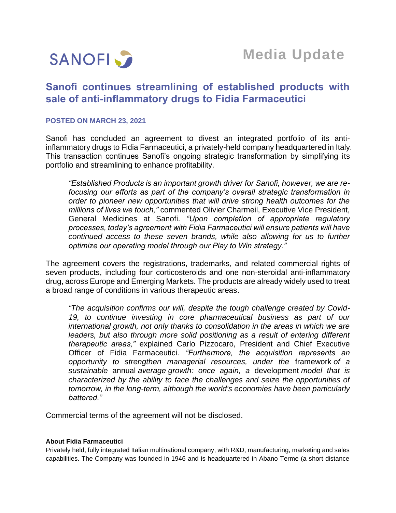

# **Sanofi continues streamlining of established products with sale of anti-inflammatory drugs to Fidia Farmaceutici**

## **POSTED ON MARCH 23, 2021**

Sanofi has concluded an agreement to divest an integrated portfolio of its antiinflammatory drugs to Fidia Farmaceutici, a privately-held company headquartered in Italy. This transaction continues Sanofi's ongoing strategic transformation by simplifying its portfolio and streamlining to enhance profitability.

*"Established Products is an important growth driver for Sanofi, however, we are refocusing our efforts as part of the company's overall strategic transformation in order to pioneer new opportunities that will drive strong health outcomes for the millions of lives we touch,"* commented Olivier Charmeil, Executive Vice President, General Medicines at Sanofi. *"Upon completion of appropriate regulatory processes, today's agreement with Fidia Farmaceutici will ensure patients will have continued access to these seven brands, while also allowing for us to further optimize our operating model through our Play to Win strategy."*

The agreement covers the registrations, trademarks, and related commercial rights of seven products, including four corticosteroids and one non-steroidal anti-inflammatory drug, across Europe and Emerging Markets. The products are already widely used to treat a broad range of conditions in various therapeutic areas.

*"The acquisition confirms our will, despite the tough challenge created by Covid-19, to continue investing in core pharmaceutical business as part of our international growth, not only thanks to consolidation in the areas in which we are*  leaders, but also through more solid positioning as a result of entering different *therapeutic areas,"* explained Carlo Pizzocaro, President and Chief Executive Officer of Fidia Farmaceutici. *"Furthermore, the acquisition represents an opportunity to strengthen managerial resources, under the* framework *of a sustainable* annual *average growth: once again, a* development *model that is characterized by the ability to face the challenges and seize the opportunities of tomorrow, in the long-term, although the world's economies have been particularly battered."*

Commercial terms of the agreement will not be disclosed.

### **About Fidia Farmaceutici**

Privately held, fully integrated Italian multinational company, with R&D, manufacturing, marketing and sales capabilities. The Company was founded in 1946 and is headquartered in Abano Terme (a short distance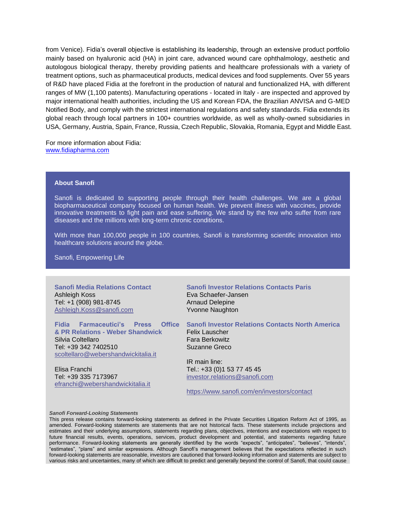from Venice). Fidia's overall objective is establishing its leadership, through an extensive product portfolio mainly based on hyaluronic acid (HA) in joint care, advanced wound care ophthalmology, aesthetic and autologous biological therapy, thereby providing patients and healthcare professionals with a variety of treatment options, such as pharmaceutical products, medical devices and food supplements. Over 55 years of R&D have placed Fidia at the forefront in the production of natural and functionalized HA, with different ranges of MW (1,100 patents). Manufacturing operations - located in Italy - are inspected and approved by major international health authorities, including the US and Korean FDA, the Brazilian ANVISA and G-MED Notified Body, and comply with the strictest international regulations and safety standards. Fidia extends its global reach through local partners in 100+ countries worldwide, as well as wholly-owned subsidiaries in USA, Germany, Austria, Spain, France, Russia, Czech Republic, Slovakia, Romania, Egypt and Middle East.

For more information about Fidia: [www.fidiapharma.com](http://www.fidiapharma.com/)

#### **About Sanofi**

Sanofi is dedicated to supporting people through their health challenges. We are a global biopharmaceutical company focused on human health. We prevent illness with vaccines, provide innovative treatments to fight pain and ease suffering. We stand by the few who suffer from rare diseases and the millions with long-term chronic conditions.

With more than 100,000 people in 100 countries, Sanofi is transforming scientific innovation into healthcare solutions around the globe.

Sanofi, Empowering Life

**Sanofi Media Relations Contact** Ashleigh Koss Tel: +1 (908) 981-8745 [Ashleigh.Koss@sanofi.com](mailto:Ashleigh.Koss@sanofi.com)

**& PR Relations - Weber Shandwick** Silvia Coltellaro Tel: +39 342 7402510 [scoltellaro@webershandwickitalia.it](mailto:scoltellaro@webershandwickitalia.it)

Elisa Franchi Tel: +39 335 7173967 [efranchi@webershandwickitalia.it](mailto:efranchi@webershandwickitalia.it)

**Sanofi Investor Relations Contacts Paris** Eva Schaefer-Jansen Arnaud Delepine Yvonne Naughton

**Fidia Farmaceutici's Press Office Sanofi Investor Relations Contacts North America**

Felix Lauscher Fara Berkowitz Suzanne Greco

IR main line: Tel.: +33 (0)1 53 77 45 45 [investor.relations@sanofi.com](mailto:investor.relations@sanofi.com)

<https://www.sanofi.com/en/investors/contact>

#### *Sanofi Forward-Looking Statements*

This press release contains forward-looking statements as defined in the Private Securities Litigation Reform Act of 1995, as amended. Forward-looking statements are statements that are not historical facts. These statements include projections and estimates and their underlying assumptions, statements regarding plans, objectives, intentions and expectations with respect to future financial results, events, operations, services, product development and potential, and statements regarding future performance. Forward-looking statements are generally identified by the words "expects", "anticipates", "believes", "intends", "estimates", "plans" and similar expressions. Although Sanofi's management believes that the expectations reflected in such forward-looking statements are reasonable, investors are cautioned that forward-looking information and statements are subject to various risks and uncertainties, many of which are difficult to predict and generally beyond the control of Sanofi, that could cause